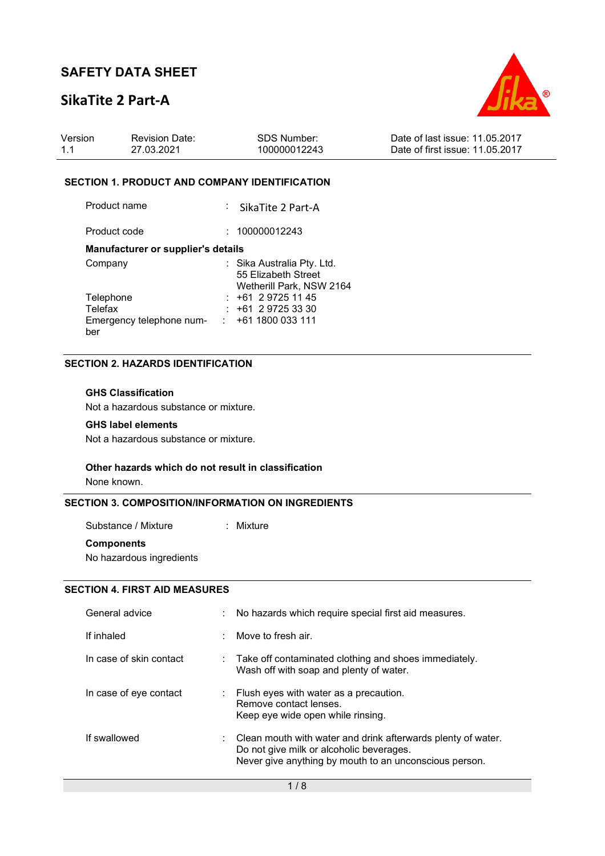## **SikaTite 2 Part-A**



| Version | <b>Revision Date:</b> | SDS Number:  | Date of last issue: 11.05.2017  |
|---------|-----------------------|--------------|---------------------------------|
| 1.1     | 27.03.2021            | 100000012243 | Date of first issue: 11.05.2017 |

#### **SECTION 1. PRODUCT AND COMPANY IDENTIFICATION**

Product name : SikaTite 2 Part-A

Product code : 100000012243

#### **Manufacturer or supplier's details**

| Company                  | : Sika Australia Pty. Ltd. |
|--------------------------|----------------------------|
|                          | 55 Elizabeth Street        |
|                          | Wetherill Park, NSW 2164   |
| Telephone                | $: +61297251145$           |
| Telefax                  | $: +61297253330$           |
| Emergency telephone num- | $: +611800033111$          |
| ber                      |                            |

### **SECTION 2. HAZARDS IDENTIFICATION**

### **GHS Classification**

Not a hazardous substance or mixture.

#### **GHS label elements**

Not a hazardous substance or mixture.

#### **Other hazards which do not result in classification**

None known.

### **SECTION 3. COMPOSITION/INFORMATION ON INGREDIENTS**

Substance / Mixture : Mixture **Components** 

No hazardous ingredients

## **SECTION 4. FIRST AID MEASURES**

| General advice          | No hazards which require special first aid measures.                                                                                                                            |
|-------------------------|---------------------------------------------------------------------------------------------------------------------------------------------------------------------------------|
| If inhaled              | Move to fresh air.                                                                                                                                                              |
| In case of skin contact | $\therefore$ Take off contaminated clothing and shoes immediately.<br>Wash off with soap and plenty of water.                                                                   |
| In case of eye contact  | $\therefore$ Flush eyes with water as a precaution.<br>Remove contact lenses.<br>Keep eye wide open while rinsing.                                                              |
| If swallowed            | $\therefore$ Clean mouth with water and drink afterwards plenty of water.<br>Do not give milk or alcoholic beverages.<br>Never give anything by mouth to an unconscious person. |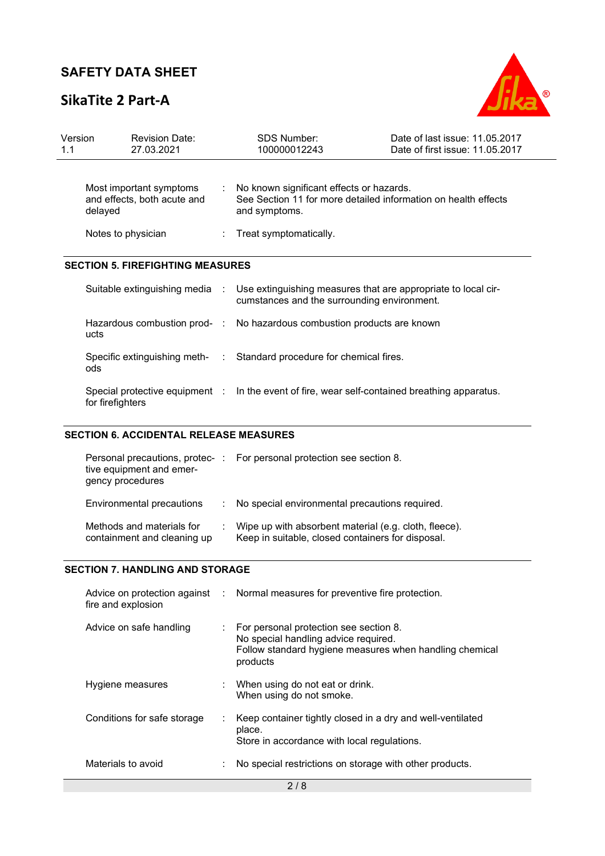# **SikaTite 2 Part-A**

for firefighters



| Version<br>1.1 | <b>Revision Date:</b><br>27.03.2021                               |  | <b>SDS Number:</b><br>100000012243                                                                                          | Date of last issue: 11.05.2017<br>Date of first issue: 11.05.2017 |
|----------------|-------------------------------------------------------------------|--|-----------------------------------------------------------------------------------------------------------------------------|-------------------------------------------------------------------|
|                | Most important symptoms<br>and effects, both acute and<br>delayed |  | No known significant effects or hazards.<br>See Section 11 for more detailed information on health effects<br>and symptoms. |                                                                   |
|                | Notes to physician                                                |  | Treat symptomatically.                                                                                                      |                                                                   |
|                | <b>SECTION 5. FIREFIGHTING MEASURES</b>                           |  |                                                                                                                             |                                                                   |
|                | Suitable extinguishing media :                                    |  | Use extinguishing measures that are appropriate to local cir-<br>cumstances and the surrounding environment.                |                                                                   |
|                | ucts                                                              |  | Hazardous combustion prod- : No hazardous combustion products are known                                                     |                                                                   |
|                | ods                                                               |  | Specific extinguishing meth- : Standard procedure for chemical fires.                                                       |                                                                   |
|                | Special protective equipment :                                    |  | In the event of fire, wear self-contained breathing apparatus.                                                              |                                                                   |

## **SECTION 6. ACCIDENTAL RELEASE MEASURES**

| tive equipment and emer-<br>gency procedures             | Personal precautions, protec-: For personal protection see section 8.                                      |
|----------------------------------------------------------|------------------------------------------------------------------------------------------------------------|
| Environmental precautions                                | : No special environmental precautions required.                                                           |
| Methods and materials for<br>containment and cleaning up | Wipe up with absorbent material (e.g. cloth, fleece).<br>Keep in suitable, closed containers for disposal. |

### **SECTION 7. HANDLING AND STORAGE**

| fire and explosion          | Advice on protection against : Normal measures for preventive fire protection.                                                                                     |
|-----------------------------|--------------------------------------------------------------------------------------------------------------------------------------------------------------------|
| Advice on safe handling     | $\therefore$ For personal protection see section 8.<br>No special handling advice required.<br>Follow standard hygiene measures when handling chemical<br>products |
| Hygiene measures            | : When using do not eat or drink.<br>When using do not smoke.                                                                                                      |
| Conditions for safe storage | Keep container tightly closed in a dry and well-ventilated<br>place.<br>Store in accordance with local regulations.                                                |
| Materials to avoid          | No special restrictions on storage with other products.                                                                                                            |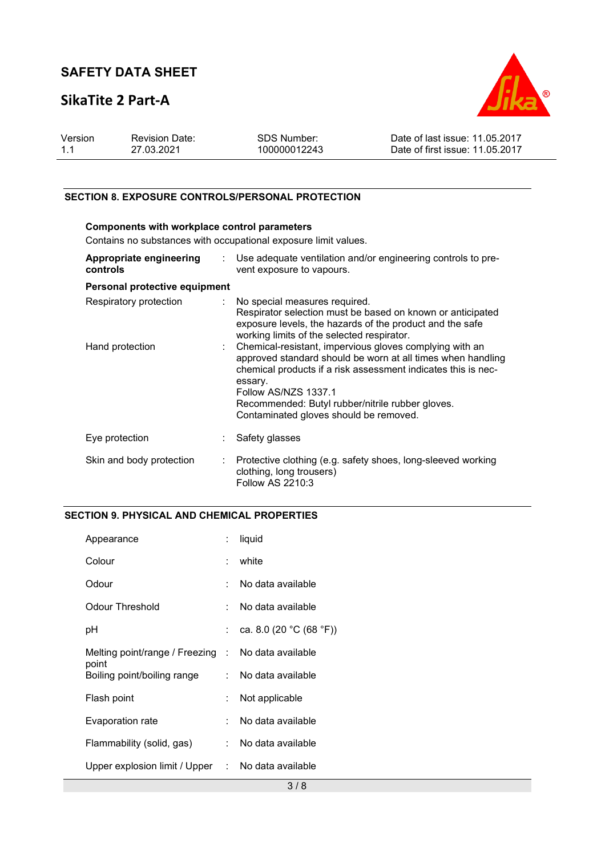# **SikaTite 2 Part-A**



| Version | <b>Revision Date:</b> | SDS Number:  | Date of last issue: 11.05.2017  |
|---------|-----------------------|--------------|---------------------------------|
| 1.1     | 27.03.2021            | 100000012243 | Date of first issue: 11.05.2017 |

## **SECTION 8. EXPOSURE CONTROLS/PERSONAL PROTECTION**

| Components with workplace control parameters                    |                           |                                                                                                                                                                                                                                                                                                                          |  |  |  |
|-----------------------------------------------------------------|---------------------------|--------------------------------------------------------------------------------------------------------------------------------------------------------------------------------------------------------------------------------------------------------------------------------------------------------------------------|--|--|--|
| Contains no substances with occupational exposure limit values. |                           |                                                                                                                                                                                                                                                                                                                          |  |  |  |
| Appropriate engineering<br>controls                             | $\mathbb{R}^{\mathbb{Z}}$ | Use adequate ventilation and/or engineering controls to pre-<br>vent exposure to vapours.                                                                                                                                                                                                                                |  |  |  |
| Personal protective equipment                                   |                           |                                                                                                                                                                                                                                                                                                                          |  |  |  |
| Respiratory protection                                          |                           | No special measures required.<br>Respirator selection must be based on known or anticipated<br>exposure levels, the hazards of the product and the safe<br>working limits of the selected respirator.                                                                                                                    |  |  |  |
| Hand protection                                                 |                           | Chemical-resistant, impervious gloves complying with an<br>approved standard should be worn at all times when handling<br>chemical products if a risk assessment indicates this is nec-<br>essary.<br>Follow AS/NZS 1337.1<br>Recommended: Butyl rubber/nitrile rubber gloves.<br>Contaminated gloves should be removed. |  |  |  |
| Eye protection                                                  |                           | Safety glasses                                                                                                                                                                                                                                                                                                           |  |  |  |
| Skin and body protection                                        |                           | Protective clothing (e.g. safety shoes, long-sleeved working<br>clothing, long trousers)<br>Follow AS 2210:3                                                                                                                                                                                                             |  |  |  |

## **SECTION 9. PHYSICAL AND CHEMICAL PROPERTIES**

| Appearance                                                  |              | liquid                  |
|-------------------------------------------------------------|--------------|-------------------------|
| Colour                                                      |              | white                   |
| Odour                                                       |              | No data available       |
| Odour Threshold                                             |              | No data available       |
| рH                                                          |              | ca. 8.0 (20 °C (68 °F)) |
| Melting point/range / Freezing : No data available<br>point |              |                         |
| Boiling point/boiling range                                 |              | No data available       |
| Flash point                                                 | ÷            | Not applicable          |
| Evaporation rate                                            |              | No data available       |
| Flammability (solid, gas)                                   | <b>P.</b> 19 | No data available       |
| Upper explosion limit / Upper                               |              | : No data available     |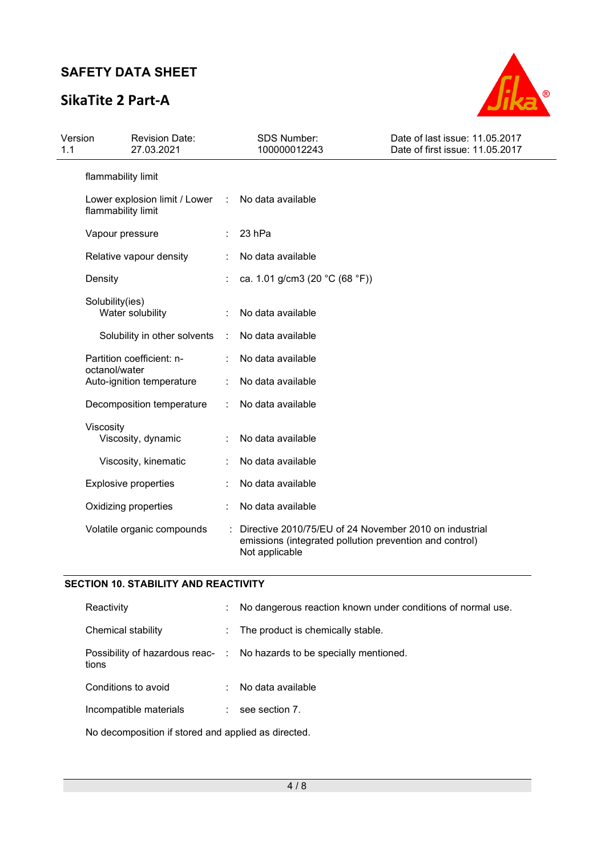# **SikaTite 2 Part-A**



| Version<br>1.1 | <b>Revision Date:</b><br>27.03.2021                 |               | <b>SDS Number:</b><br>100000012243                                                                                                  | Date of last issue: 11.05.2017<br>Date of first issue: 11.05.2017 |
|----------------|-----------------------------------------------------|---------------|-------------------------------------------------------------------------------------------------------------------------------------|-------------------------------------------------------------------|
|                | flammability limit                                  |               |                                                                                                                                     |                                                                   |
|                | Lower explosion limit / Lower<br>flammability limit | $\mathcal{L}$ | No data available                                                                                                                   |                                                                   |
|                | Vapour pressure                                     |               | 23 hPa                                                                                                                              |                                                                   |
|                | Relative vapour density                             |               | No data available                                                                                                                   |                                                                   |
|                | Density                                             |               | ca. 1.01 g/cm3 (20 °C (68 °F))                                                                                                      |                                                                   |
|                | Solubility(ies)<br>Water solubility                 |               | No data available                                                                                                                   |                                                                   |
|                | Solubility in other solvents                        | $\mathcal{L}$ | No data available                                                                                                                   |                                                                   |
|                | Partition coefficient: n-                           |               | No data available                                                                                                                   |                                                                   |
|                | octanol/water<br>Auto-ignition temperature          |               | No data available                                                                                                                   |                                                                   |
|                | Decomposition temperature                           |               | No data available                                                                                                                   |                                                                   |
|                | Viscosity<br>Viscosity, dynamic                     |               | No data available                                                                                                                   |                                                                   |
|                | Viscosity, kinematic                                |               | No data available                                                                                                                   |                                                                   |
|                | <b>Explosive properties</b>                         |               | No data available                                                                                                                   |                                                                   |
|                | Oxidizing properties                                |               | No data available                                                                                                                   |                                                                   |
|                | Volatile organic compounds                          |               | Directive 2010/75/EU of 24 November 2010 on industrial<br>emissions (integrated pollution prevention and control)<br>Not applicable |                                                                   |

### **SECTION 10. STABILITY AND REACTIVITY**

| Reactivity             | ÷ | No dangerous reaction known under conditions of normal use.            |
|------------------------|---|------------------------------------------------------------------------|
| Chemical stability     | ÷ | The product is chemically stable.                                      |
| tions                  |   | Possibility of hazardous reac- : No hazards to be specially mentioned. |
| Conditions to avoid    |   | No data available                                                      |
| Incompatible materials |   | see section 7.                                                         |
|                        |   |                                                                        |

No decomposition if stored and applied as directed.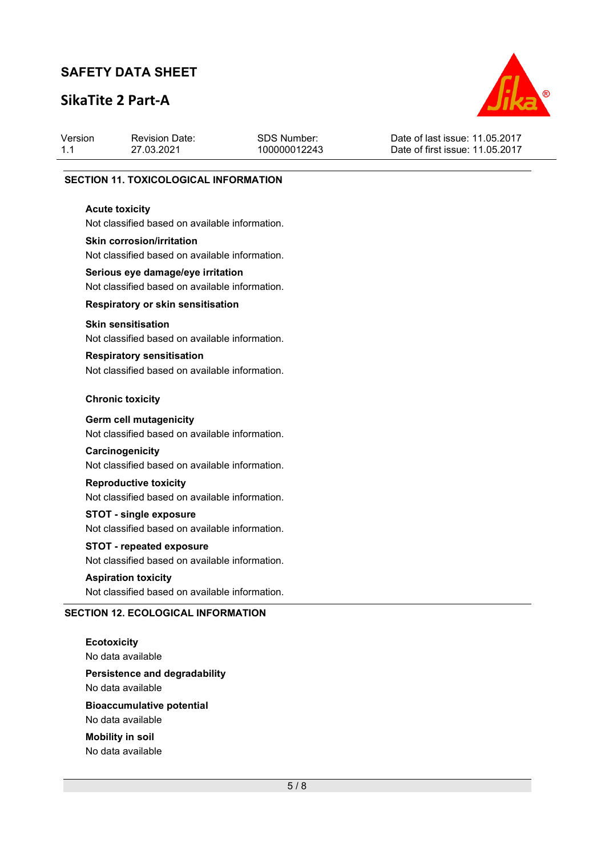# **SikaTite 2 Part-A**



| Version | <b>Revision Date:</b> | SDS Number:  | Date of last issue: 11.05.2017  |
|---------|-----------------------|--------------|---------------------------------|
| 1.1     | 27.03.2021            | 100000012243 | Date of first issue: 11.05.2017 |
|         |                       |              |                                 |

#### **SECTION 11. TOXICOLOGICAL INFORMATION**

#### **Acute toxicity**

Not classified based on available information.

#### **Skin corrosion/irritation**

Not classified based on available information.

## **Serious eye damage/eye irritation**  Not classified based on available information.

**Respiratory or skin sensitisation** 

#### **Skin sensitisation**

Not classified based on available information.

## **Respiratory sensitisation**

Not classified based on available information.

#### **Chronic toxicity**

#### **Germ cell mutagenicity**

Not classified based on available information.

#### **Carcinogenicity**

Not classified based on available information.

### **Reproductive toxicity**

Not classified based on available information.

#### **STOT - single exposure**

Not classified based on available information.

## **STOT - repeated exposure**

Not classified based on available information.

## **Aspiration toxicity**

Not classified based on available information.

#### **SECTION 12. ECOLOGICAL INFORMATION**

**Ecotoxicity**  No data available **Persistence and degradability**  No data available **Bioaccumulative potential**  No data available

**Mobility in soil**  No data available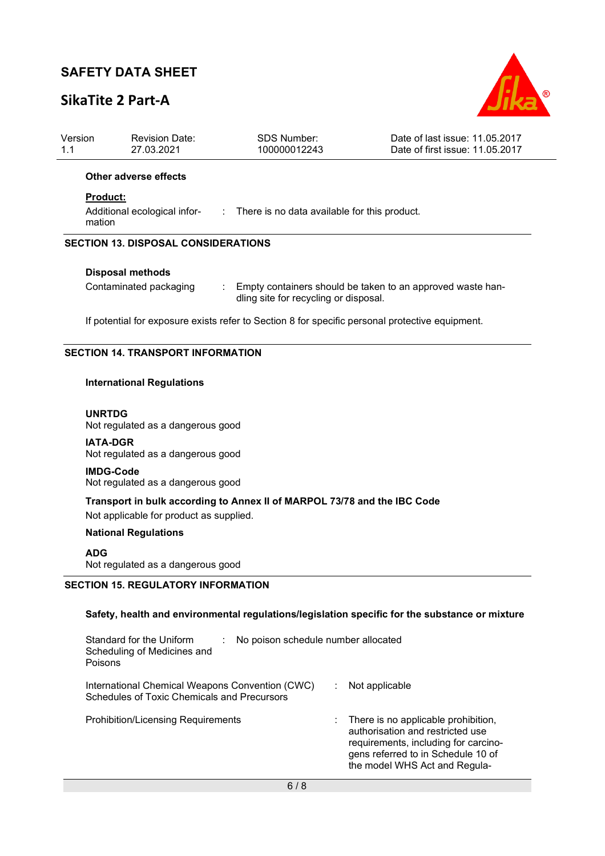# **SikaTite 2 Part-A**



| Version<br>1.1                           | <b>Revision Date:</b><br>27.03.2021                                                                         | SDS Number:<br>100000012243                                                                         | Date of last issue: 11.05.2017<br>Date of first issue: 11.05.2017 |  |  |  |  |
|------------------------------------------|-------------------------------------------------------------------------------------------------------------|-----------------------------------------------------------------------------------------------------|-------------------------------------------------------------------|--|--|--|--|
|                                          | Other adverse effects                                                                                       |                                                                                                     |                                                                   |  |  |  |  |
|                                          | <b>Product:</b><br>Additional ecological infor-<br>: There is no data available for this product.<br>mation |                                                                                                     |                                                                   |  |  |  |  |
|                                          | <b>SECTION 13. DISPOSAL CONSIDERATIONS</b>                                                                  |                                                                                                     |                                                                   |  |  |  |  |
|                                          | <b>Disposal methods</b>                                                                                     |                                                                                                     |                                                                   |  |  |  |  |
|                                          | Contaminated packaging                                                                                      | Empty containers should be taken to an approved waste han-<br>dling site for recycling or disposal. |                                                                   |  |  |  |  |
|                                          | If potential for exposure exists refer to Section 8 for specific personal protective equipment.             |                                                                                                     |                                                                   |  |  |  |  |
| <b>SECTION 14. TRANSPORT INFORMATION</b> |                                                                                                             |                                                                                                     |                                                                   |  |  |  |  |
|                                          | <b>International Regulations</b>                                                                            |                                                                                                     |                                                                   |  |  |  |  |

**UNRTDG** Not regulated as a dangerous good

**IATA-DGR** Not regulated as a dangerous good

**IMDG-Code** Not regulated as a dangerous good

**Transport in bulk according to Annex II of MARPOL 73/78 and the IBC Code**  Not applicable for product as supplied.

**National Regulations** 

### **ADG**

Not regulated as a dangerous good

## **SECTION 15. REGULATORY INFORMATION**

### **Safety, health and environmental regulations/legislation specific for the substance or mixture**

| Standard for the Uniform<br>No poison schedule number allocated<br>Scheduling of Medicines and<br>Poisons |  |                                                                                                                                                                                        |  |
|-----------------------------------------------------------------------------------------------------------|--|----------------------------------------------------------------------------------------------------------------------------------------------------------------------------------------|--|
| International Chemical Weapons Convention (CWC)<br>Schedules of Toxic Chemicals and Precursors            |  | Not applicable                                                                                                                                                                         |  |
| <b>Prohibition/Licensing Requirements</b>                                                                 |  | There is no applicable prohibition,<br>authorisation and restricted use<br>requirements, including for carcino-<br>gens referred to in Schedule 10 of<br>the model WHS Act and Regula- |  |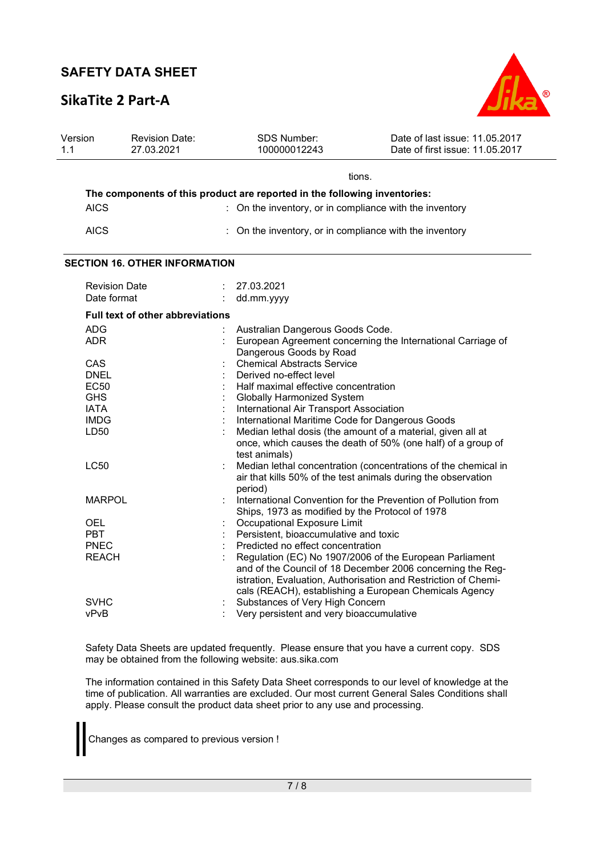## **SikaTite 2 Part-A**



| Version<br>1.1 | <b>Revision Date:</b><br>27.03.2021                                       |  | <b>SDS Number:</b><br>100000012243                      | Date of last issue: 11.05.2017<br>Date of first issue: 11.05.2017                                                                                                                                                                                 |  |  |  |  |
|----------------|---------------------------------------------------------------------------|--|---------------------------------------------------------|---------------------------------------------------------------------------------------------------------------------------------------------------------------------------------------------------------------------------------------------------|--|--|--|--|
|                |                                                                           |  |                                                         |                                                                                                                                                                                                                                                   |  |  |  |  |
|                | tions.                                                                    |  |                                                         |                                                                                                                                                                                                                                                   |  |  |  |  |
|                | The components of this product are reported in the following inventories: |  |                                                         |                                                                                                                                                                                                                                                   |  |  |  |  |
|                | <b>AICS</b>                                                               |  | : On the inventory, or in compliance with the inventory |                                                                                                                                                                                                                                                   |  |  |  |  |
|                | <b>AICS</b>                                                               |  | On the inventory, or in compliance with the inventory   |                                                                                                                                                                                                                                                   |  |  |  |  |
|                | <b>SECTION 16. OTHER INFORMATION</b>                                      |  |                                                         |                                                                                                                                                                                                                                                   |  |  |  |  |
|                | <b>Revision Date</b>                                                      |  | 27.03.2021                                              |                                                                                                                                                                                                                                                   |  |  |  |  |
|                | Date format                                                               |  | dd.mm.yyyy                                              |                                                                                                                                                                                                                                                   |  |  |  |  |
|                | <b>Full text of other abbreviations</b>                                   |  |                                                         |                                                                                                                                                                                                                                                   |  |  |  |  |
|                | <b>ADG</b>                                                                |  | Australian Dangerous Goods Code.                        |                                                                                                                                                                                                                                                   |  |  |  |  |
|                | <b>ADR</b>                                                                |  |                                                         | European Agreement concerning the International Carriage of                                                                                                                                                                                       |  |  |  |  |
|                |                                                                           |  | Dangerous Goods by Road                                 |                                                                                                                                                                                                                                                   |  |  |  |  |
|                | CAS                                                                       |  | <b>Chemical Abstracts Service</b>                       |                                                                                                                                                                                                                                                   |  |  |  |  |
|                | <b>DNEL</b>                                                               |  | Derived no-effect level                                 |                                                                                                                                                                                                                                                   |  |  |  |  |
|                | <b>EC50</b>                                                               |  | Half maximal effective concentration                    |                                                                                                                                                                                                                                                   |  |  |  |  |
|                | <b>GHS</b>                                                                |  | <b>Globally Harmonized System</b>                       |                                                                                                                                                                                                                                                   |  |  |  |  |
|                | <b>IATA</b>                                                               |  | International Air Transport Association                 |                                                                                                                                                                                                                                                   |  |  |  |  |
|                | <b>IMDG</b>                                                               |  | International Maritime Code for Dangerous Goods         |                                                                                                                                                                                                                                                   |  |  |  |  |
|                | LD50                                                                      |  | test animals)                                           | Median lethal dosis (the amount of a material, given all at<br>once, which causes the death of 50% (one half) of a group of                                                                                                                       |  |  |  |  |
|                | <b>LC50</b>                                                               |  | period)                                                 | Median lethal concentration (concentrations of the chemical in<br>air that kills 50% of the test animals during the observation                                                                                                                   |  |  |  |  |
|                | <b>MARPOL</b>                                                             |  |                                                         | International Convention for the Prevention of Pollution from                                                                                                                                                                                     |  |  |  |  |
|                |                                                                           |  | Ships, 1973 as modified by the Protocol of 1978         |                                                                                                                                                                                                                                                   |  |  |  |  |
|                | <b>OEL</b>                                                                |  | Occupational Exposure Limit                             |                                                                                                                                                                                                                                                   |  |  |  |  |
|                | <b>PBT</b>                                                                |  | Persistent, bioaccumulative and toxic                   |                                                                                                                                                                                                                                                   |  |  |  |  |
|                | <b>PNEC</b>                                                               |  | Predicted no effect concentration                       |                                                                                                                                                                                                                                                   |  |  |  |  |
|                | <b>REACH</b>                                                              |  |                                                         | Regulation (EC) No 1907/2006 of the European Parliament<br>and of the Council of 18 December 2006 concerning the Reg-<br>istration, Evaluation, Authorisation and Restriction of Chemi-<br>cals (REACH), establishing a European Chemicals Agency |  |  |  |  |
|                | <b>SVHC</b>                                                               |  | Substances of Very High Concern                         |                                                                                                                                                                                                                                                   |  |  |  |  |
|                | vPvB                                                                      |  | Very persistent and very bioaccumulative                |                                                                                                                                                                                                                                                   |  |  |  |  |

Safety Data Sheets are updated frequently. Please ensure that you have a current copy. SDS may be obtained from the following website: aus.sika.com

The information contained in this Safety Data Sheet corresponds to our level of knowledge at the time of publication. All warranties are excluded. Our most current General Sales Conditions shall apply. Please consult the product data sheet prior to any use and processing.

Changes as compared to previous version !